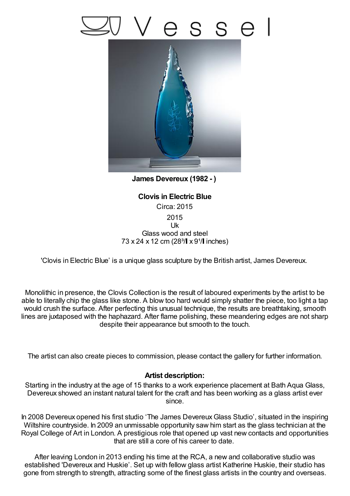## SS e



**James Devereux (1982 - )**

**Clovis in Electric Blue** Circa: 2015 2015 Uk Glass wood and steel 73 x 24 x 12 cm (28<sup>3</sup>/ x 9<sup>1</sup>/ linches)

'Clovis in Electric Blue' is a unique glass sculpture by the British artist, James Devereux.

Monolithic in presence, the Clovis Collection is the result of laboured experiments by the artist to be able to literally chip the glass like stone. A blow too hard would simply shatter the piece, too light a tap would crush the surface. After perfecting this unusual technique, the results are breathtaking, smooth lines are juxtaposed with the haphazard. After flame polishing, these meandering edges are not sharp despite their appearance but smooth to the touch.

The artist can also create pieces to commission, please contact the gallery for further information.

## **Artist description:**

Starting in the industry at the age of 15 thanks to a work experience placement at Bath Aqua Glass, Devereux showed an instant natural talent for the craft and has been working as a glass artist ever since.

In 2008 Devereux opened his first studio 'The James DevereuxGlass Studio', situated in the inspiring Wiltshire countryside. In 2009 an unmissable opportunity saw him start as the glass technician at the Royal College of Art in London. A prestigious role that opened up vast new contacts and opportunities that are still a core of his career to date.

After leaving London in 2013 ending his time at the RCA, a new and collaborative studio was established 'Devereux and Huskie'. Set up with fellow glass artist Katherine Huskie, their studio has gone from strength to strength, attracting some of the finest glass artists in the country and overseas.